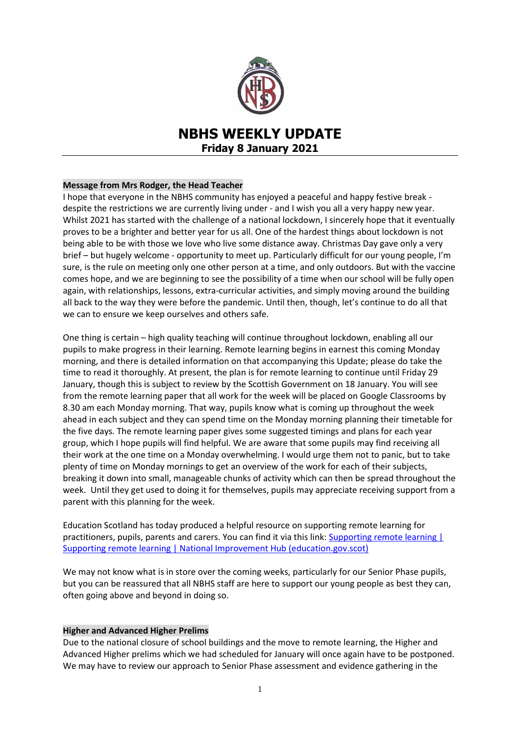

# **NBHS WEEKLY UPDATE Friday 8 January 2021**

### **Message from Mrs Rodger, the Head Teacher**

I hope that everyone in the NBHS community has enjoyed a peaceful and happy festive break despite the restrictions we are currently living under - and I wish you all a very happy new year. Whilst 2021 has started with the challenge of a national lockdown, I sincerely hope that it eventually proves to be a brighter and better year for us all. One of the hardest things about lockdown is not being able to be with those we love who live some distance away. Christmas Day gave only a very brief – but hugely welcome - opportunity to meet up. Particularly difficult for our young people, I'm sure, is the rule on meeting only one other person at a time, and only outdoors. But with the vaccine comes hope, and we are beginning to see the possibility of a time when our school will be fully open again, with relationships, lessons, extra-curricular activities, and simply moving around the building all back to the way they were before the pandemic. Until then, though, let's continue to do all that we can to ensure we keep ourselves and others safe.

One thing is certain – high quality teaching will continue throughout lockdown, enabling all our pupils to make progress in their learning. Remote learning begins in earnest this coming Monday morning, and there is detailed information on that accompanying this Update; please do take the time to read it thoroughly. At present, the plan is for remote learning to continue until Friday 29 January, though this is subject to review by the Scottish Government on 18 January. You will see from the remote learning paper that all work for the week will be placed on Google Classrooms by 8.30 am each Monday morning. That way, pupils know what is coming up throughout the week ahead in each subject and they can spend time on the Monday morning planning their timetable for the five days. The remote learning paper gives some suggested timings and plans for each year group, which I hope pupils will find helpful. We are aware that some pupils may find receiving all their work at the one time on a Monday overwhelming. I would urge them not to panic, but to take plenty of time on Monday mornings to get an overview of the work for each of their subjects, breaking it down into small, manageable chunks of activity which can then be spread throughout the week. Until they get used to doing it for themselves, pupils may appreciate receiving support from a parent with this planning for the week.

Education Scotland has today produced a helpful resource on supporting remote learning for practitioners, pupils, parents and carers. You can find it via this link: [Supporting remote learning |](https://education.gov.scot/improvement/supporting-remote-learning/supporting-remote-learning?_cldee=bHJvZGdlckBub3J0aGJlcndpY2toaWdoLmVsY3NjaG9vbC5vcmcudWs%3d&recipientid=contact-710bf4514dd9e911a85e000d3ab0d65d-de05c150ce8d4a8f963832f59762931d&esid=096539c0-9b17-eb11-a813-000d3ab6df41)  [Supporting remote learning | National Improvement Hub \(education.gov.scot\)](https://education.gov.scot/improvement/supporting-remote-learning/supporting-remote-learning?_cldee=bHJvZGdlckBub3J0aGJlcndpY2toaWdoLmVsY3NjaG9vbC5vcmcudWs%3d&recipientid=contact-710bf4514dd9e911a85e000d3ab0d65d-de05c150ce8d4a8f963832f59762931d&esid=096539c0-9b17-eb11-a813-000d3ab6df41)

We may not know what is in store over the coming weeks, particularly for our Senior Phase pupils, but you can be reassured that all NBHS staff are here to support our young people as best they can, often going above and beyond in doing so.

#### **Higher and Advanced Higher Prelims**

Due to the national closure of school buildings and the move to remote learning, the Higher and Advanced Higher prelims which we had scheduled for January will once again have to be postponed. We may have to review our approach to Senior Phase assessment and evidence gathering in the